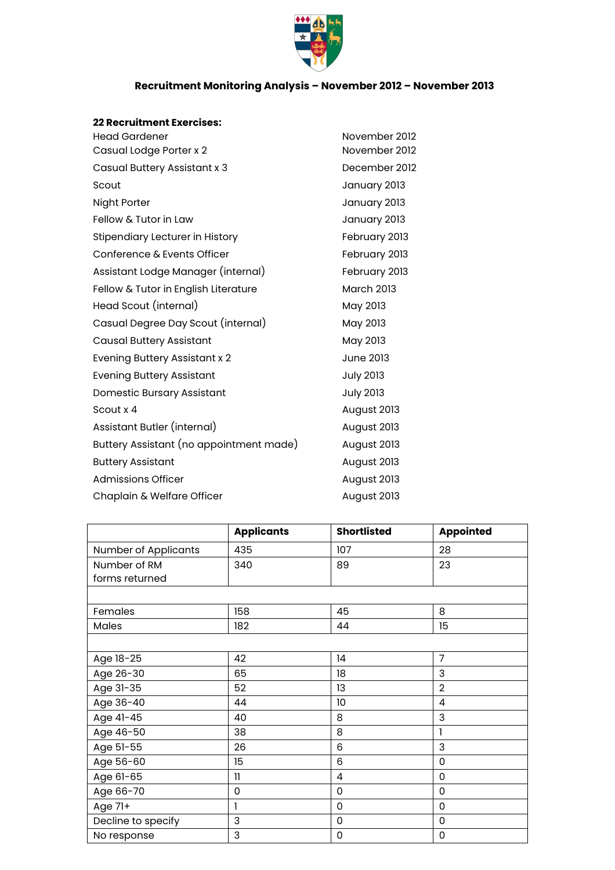

## **Recruitment Monitoring Analysis – November 2012 – November 2013**

## **22 Recruitment Exercises:**

| 22 Recruitment exercises.               |                   |
|-----------------------------------------|-------------------|
| <b>Head Gardener</b>                    | November 2012     |
| Casual Lodge Porter x 2                 | November 2012     |
| Casual Buttery Assistant x 3            | December 2012     |
| Scout                                   | January 2013      |
| Night Porter                            | January 2013      |
| Fellow & Tutor in Law                   | January 2013      |
| Stipendiary Lecturer in History         | February 2013     |
| Conference & Events Officer             | February 2013     |
| Assistant Lodge Manager (internal)      | February 2013     |
| Fellow & Tutor in English Literature    | <b>March 2013</b> |
| Head Scout (internal)                   | May 2013          |
| Casual Degree Day Scout (internal)      | May 2013          |
| <b>Causal Buttery Assistant</b>         | May 2013          |
| Evening Buttery Assistant x 2           | <b>June 2013</b>  |
| <b>Evening Buttery Assistant</b>        | <b>July 2013</b>  |
| Domestic Bursary Assistant              | <b>July 2013</b>  |
| Scout x 4                               | August 2013       |
| Assistant Butler (internal)             | August 2013       |
| Buttery Assistant (no appointment made) | August 2013       |
| <b>Buttery Assistant</b>                | August 2013       |
| Admissions Officer                      | August 2013       |
| Chaplain & Welfare Officer              | August 2013       |

|                      | <b>Applicants</b> | <b>Shortlisted</b> | <b>Appointed</b> |
|----------------------|-------------------|--------------------|------------------|
| Number of Applicants | 435               | 107                | 28               |
| Number of RM         | 340               | 89                 | 23               |
| forms returned       |                   |                    |                  |
|                      |                   |                    |                  |
| Females              | 158               | 45                 | 8                |
| Males                | 182               | 44                 | 15               |
|                      |                   |                    |                  |
| Age 18-25            | 42                | 14                 | $\overline{7}$   |
| Age 26-30            | 65                | 18                 | 3                |
| Age 31-35            | 52                | 13                 | $\overline{2}$   |
| Age 36-40            | 44                | 10                 | $\overline{4}$   |
| Age 41-45            | 40                | 8                  | 3                |
| Age 46-50            | 38                | 8                  |                  |
| Age 51-55            | 26                | $6\phantom{1}$     | 3                |
| Age 56-60            | 15                | 6                  | 0                |
| Age 61-65            | $\mathbf{1}$      | $\overline{4}$     | 0                |
| Age 66-70            | 0                 | 0                  | 0                |
| Age 71+              | 1                 | $\mathbf 0$        | $\mathbf 0$      |
| Decline to specify   | 3                 | $\mathbf 0$        | 0                |
| No response          | 3                 | 0                  | 0                |